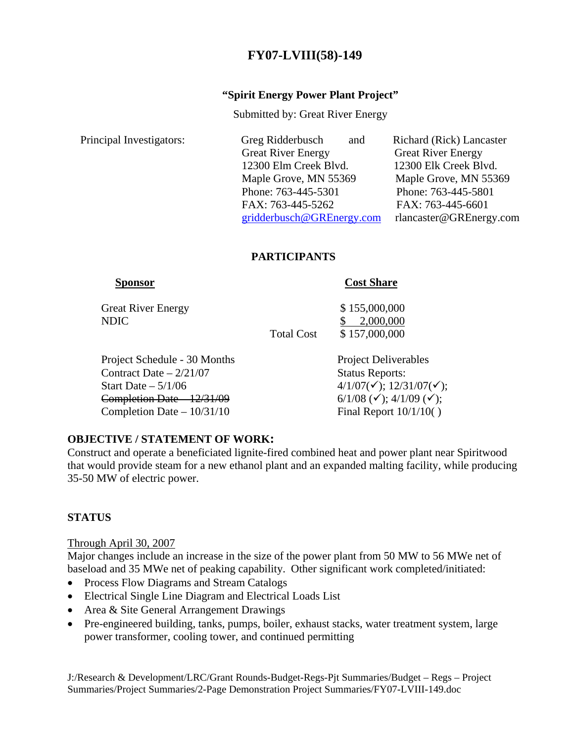# **FY07-LVIII(58)-149**

#### **"Spirit Energy Power Plant Project"**

Submitted by: Great River Energy

| Principal Investigators: | Greg Ridderbusch<br>and   | Richard (Rick) Lancaster  |
|--------------------------|---------------------------|---------------------------|
|                          | <b>Great River Energy</b> | <b>Great River Energy</b> |
|                          | 12300 Elm Creek Blvd.     | 12300 Elk Creek Blvd.     |
|                          | Maple Grove, MN 55369     | Maple Grove, MN 55369     |
|                          | Phone: 763-445-5301       | Phone: 763-445-5801       |
|                          | FAX: 763-445-5262         | FAX: 763-445-6601         |
|                          | gridderbusch@GREnergy.com | rlancaster@GREnergy.com   |
|                          |                           |                           |

#### **PARTICIPANTS**

Great River Energy  $$ 155,000,000$ NDIC \$ 2,000,000

#### **Sponsor** Cost Share

Total Cost \$157,000,000

Project Schedule - 30 Months Project Deliverables Contract Date – 2/21/07 Status Reports: Start Date – 5/1/06  $4/1/07(\check{v})$ ; 12/31/07( $\check{v}$ ); Completion Date  $-12/31/09$  6/1/08 ( $\checkmark$ ); 4/1/09 ( $\checkmark$ ); Completion Date  $-10/31/10$  Final Report  $10/1/10()$ 

# **OBJECTIVE / STATEMENT OF WORK:**

Construct and operate a beneficiated lignite-fired combined heat and power plant near Spiritwood that would provide steam for a new ethanol plant and an expanded malting facility, while producing 35-50 MW of electric power.

# **STATUS**

#### Through April 30, 2007

Major changes include an increase in the size of the power plant from 50 MW to 56 MWe net of baseload and 35 MWe net of peaking capability. Other significant work completed/initiated:

- Process Flow Diagrams and Stream Catalogs
- Electrical Single Line Diagram and Electrical Loads List
- Area & Site General Arrangement Drawings
- Pre-engineered building, tanks, pumps, boiler, exhaust stacks, water treatment system, large power transformer, cooling tower, and continued permitting

J:/Research & Development/LRC/Grant Rounds-Budget-Regs-Pjt Summaries/Budget – Regs – Project Summaries/Project Summaries/2-Page Demonstration Project Summaries/FY07-LVIII-149.doc